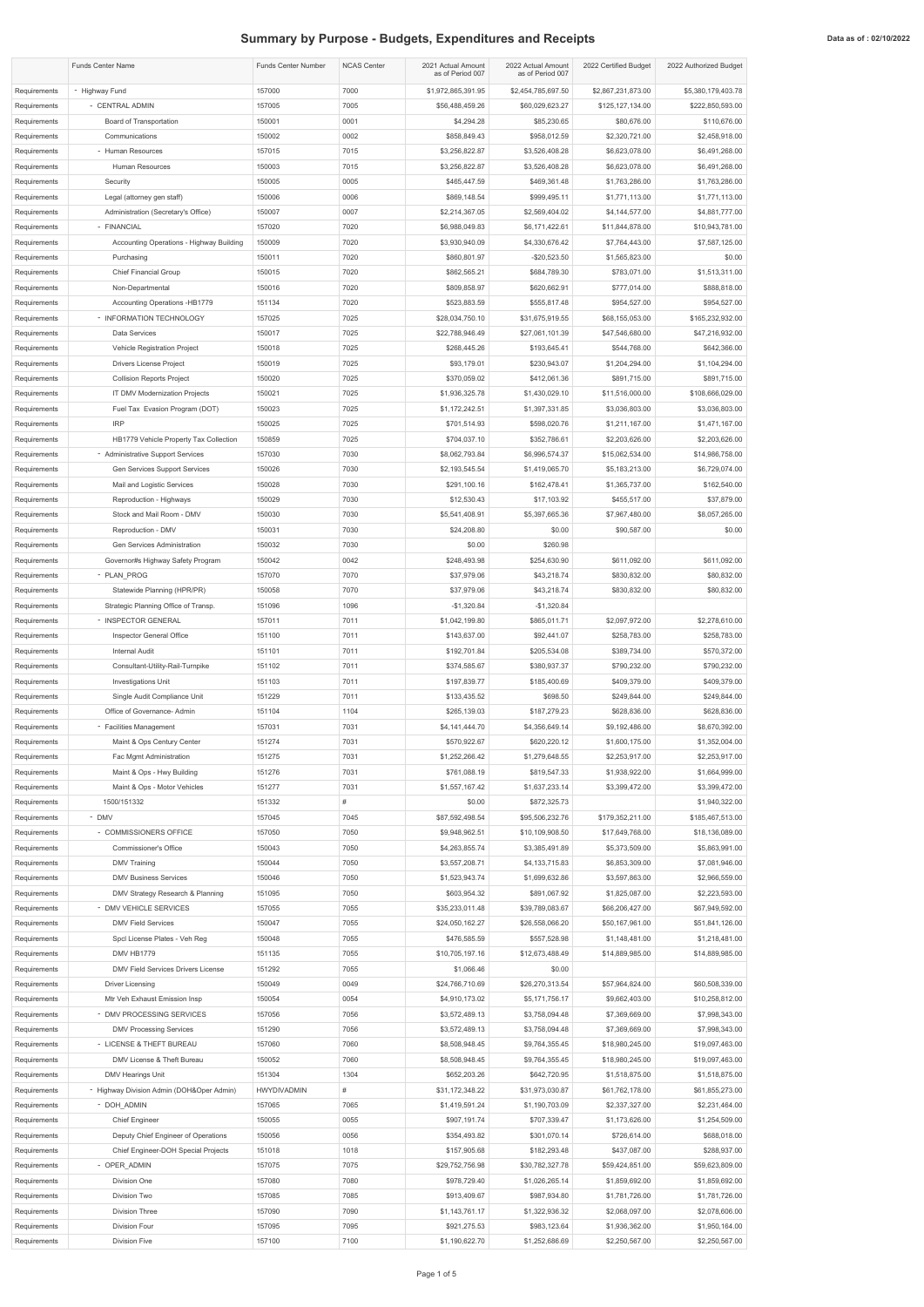## **Summary by Purpose - Budgets, Expenditures and Receipts Data as of : 02/10/2022** Data as of : 02/10/2022

|                              | <b>Funds Center Name</b>                                       | <b>Funds Center Number</b>   | <b>NCAS Center</b> | 2021 Actual Amount<br>as of Period 007 | 2022 Actual Amount<br>as of Period 007 | 2022 Certified Budget              | 2022 Authorized Budget             |
|------------------------------|----------------------------------------------------------------|------------------------------|--------------------|----------------------------------------|----------------------------------------|------------------------------------|------------------------------------|
| Requirements                 | - Highway Fund                                                 | 157000                       | 7000               | \$1,972,865,391.95                     | \$2,454,785,697.50                     | \$2,867,231,873.00                 | \$5,380,179,403.78                 |
| Requirements                 | - CENTRAL ADMIN                                                | 157005                       | 7005               | \$56,488,459.26                        | \$60,029,623.27                        | \$125,127,134.00                   | \$222,850,593.00                   |
| Requirements                 | <b>Board of Transportation</b>                                 | 150001                       | 0001               | \$4,294.28                             | \$85,230.65                            | \$80,676.00                        | \$110,676.00                       |
| Requirements                 | Communications                                                 | 150002                       | 0002               | \$858,849.43                           | \$958,012.59                           | \$2,320,721.00                     | \$2,458,918.00                     |
| Requirements<br>Requirements | - Human Resources<br>Human Resources                           | 157015<br>150003             | 7015<br>7015       | \$3,256,822.87<br>\$3,256,822.87       | \$3,526,408.28<br>\$3,526,408.28       | \$6,623,078.00<br>\$6,623,078.00   | \$6,491,268.00<br>\$6,491,268.00   |
| Requirements                 | Security                                                       | 150005                       | 0005               | \$465,447.59                           | \$469,361.48                           | \$1,763,286.00                     | \$1,763,286.00                     |
| Requirements                 | Legal (attorney gen staff)                                     | 150006                       | 0006               | \$869,148.54                           | \$999,495.11                           | \$1,771,113.00                     | \$1,771,113.00                     |
| Requirements                 | Administration (Secretary's Office)                            | 150007                       | 0007               | \$2,214,367.05                         | \$2,569,404.02                         | \$4,144,577.00                     | \$4,881,777.00                     |
| Requirements                 | - FINANCIAL                                                    | 157020                       | 7020               | \$6,988,049.83                         | \$6,171,422.61                         | \$11,844,878.00                    | \$10,943,781.00                    |
| Requirements                 | Accounting Operations - Highway Building                       | 150009                       | 7020               | \$3,930,940.09                         | \$4,330,676.42                         | \$7,764,443.00                     | \$7,587,125.00                     |
| Requirements                 | Purchasing                                                     | 150011                       | 7020               | \$860,801.97                           | $-$20,523.50$                          | \$1,565,823.00                     | \$0.00                             |
| Requirements                 | <b>Chief Financial Group</b>                                   | 150015                       | 7020               | \$862,565.21                           | \$684,789.30                           | \$783,071.00                       | \$1,513,311.00                     |
| Requirements                 | Non-Departmental                                               | 150016                       | 7020               | \$809,858.97                           | \$620,662.91                           | \$777,014.00                       | \$888,818.00                       |
| Requirements<br>Requirements | Accounting Operations -HB1779<br>- INFORMATION TECHNOLOGY      | 151134<br>157025             | 7020<br>7025       | \$523,883.59<br>\$28,034,750.10        | \$555,817.48<br>\$31,675,919.55        | \$954,527.00<br>\$68,155,053.00    | \$954,527.00<br>\$165,232,932.00   |
| Requirements                 | Data Services                                                  | 150017                       | 7025               | \$22,788,946.49                        | \$27,061,101.39                        | \$47,546,680.00                    | \$47,216,932.00                    |
| Requirements                 | <b>Vehicle Registration Project</b>                            | 150018                       | 7025               | \$268,445.26                           | \$193,645.41                           | \$544,768.00                       | \$642,366.00                       |
| Requirements                 | Drivers License Project                                        | 150019                       | 7025               | \$93,179.01                            | \$230,943.07                           | \$1,204,294.00                     | \$1,104,294.00                     |
| Requirements                 | <b>Collision Reports Project</b>                               | 150020                       | 7025               | \$370,059.02                           | \$412,061.36                           | \$891,715.00                       | \$891,715.00                       |
| Requirements                 | <b>IT DMV Modernization Projects</b>                           | 150021                       | 7025               | \$1,936,325.78                         | \$1,430,029.10                         | \$11,516,000.00                    | \$108,666,029.00                   |
| Requirements                 | Fuel Tax Evasion Program (DOT)                                 | 150023                       | 7025               | \$1,172,242.51                         | \$1,397,331.85                         | \$3,036,803.00                     | \$3,036,803.00                     |
| Requirements                 | <b>IRP</b>                                                     | 150025                       | 7025               | \$701,514.93                           | \$598,020.76                           | \$1,211,167.00                     | \$1,471,167.00                     |
| Requirements                 | HB1779 Vehicle Property Tax Collection                         | 150859                       | 7025               | \$704,037.10                           | \$352,786.61                           | \$2,203,626.00                     | \$2,203,626.00                     |
| Requirements                 | - Administrative Support Services                              | 157030                       | 7030               | \$8,062,793.84                         | \$6,996,574.37                         | \$15,062,534.00                    | \$14,986,758.00                    |
| Requirements<br>Requirements | Gen Services Support Services<br>Mail and Logistic Services    | 150026<br>150028             | 7030<br>7030       | \$2,193,545.54<br>\$291,100.16         | \$1,419,065.70<br>\$162,478.41         | \$5,183,213.00<br>\$1,365,737.00   | \$6,729,074.00<br>\$162,540.00     |
| Requirements                 | Reproduction - Highways                                        | 150029                       | 7030               | \$12,530.43                            | \$17,103.92                            | \$455,517.00                       | \$37,879.00                        |
| Requirements                 | Stock and Mail Room - DMV                                      | 150030                       | 7030               | \$5,541,408.91                         | \$5,397,665.36                         | \$7,967,480.00                     | \$8,057,265.00                     |
| Requirements                 | Reproduction - DMV                                             | 150031                       | 7030               | \$24,208.80                            | \$0.00                                 | \$90,587.00                        | \$0.00                             |
| Requirements                 | Gen Services Administration                                    | 150032                       | 7030               | \$0.00                                 | \$260.98                               |                                    |                                    |
| Requirements                 | Governor#s Highway Safety Program                              | 150042                       | 0042               | \$248,493.98                           | \$254,630.90                           | \$611,092.00                       | \$611,092.00                       |
| Requirements                 | - PLAN PROG                                                    | 157070                       | 7070               | \$37,979.06                            | \$43,218.74                            | \$830,832.00                       | \$80,832.00                        |
| Requirements                 | Statewide Planning (HPR/PR)                                    | 150058                       | 7070               | \$37,979.06                            | \$43,218.74                            | \$830,832.00                       | \$80,832.00                        |
| Requirements                 | Strategic Planning Office of Transp.                           | 151096                       | 1096               | $-$1,320.84$                           | $-$1,320.84$                           |                                    |                                    |
| Requirements                 | - INSPECTOR GENERAL                                            | 157011<br>151100             | 7011<br>7011       | \$1,042,199.80                         | \$865,011.71                           | \$2,097,972.00                     | \$2,278,610.00<br>\$258,783.00     |
| Requirements<br>Requirements | Inspector General Office<br><b>Internal Audit</b>              | 151101                       | 7011               | \$143,637.00<br>\$192,701.84           | \$92,441.07<br>\$205,534.08            | \$258,783.00<br>\$389,734.00       | \$570,372.00                       |
| Requirements                 | Consultant-Utility-Rail-Turnpike                               | 151102                       | 7011               | \$374,585.67                           | \$380,937.37                           | \$790,232.00                       | \$790,232.00                       |
| Requirements                 | <b>Investigations Unit</b>                                     | 151103                       | 7011               | \$197,839.77                           | \$185,400.69                           | \$409,379.00                       | \$409,379.00                       |
| Requirements                 | Single Audit Compliance Unit                                   | 151229                       | 7011               | \$133,435.52                           | \$698.50                               | \$249,844.00                       | \$249,844.00                       |
| Requirements                 | Office of Governance- Admin                                    | 151104                       | 1104               | \$265,139.03                           | \$187,279.23                           | \$628,836.00                       | \$628,836.00                       |
| Requirements                 | - Facilities Management                                        | 157031                       | 7031               | \$4,141,444.70                         | \$4,356,649.14                         | \$9,192,486.00                     | \$8,670,392.00                     |
| Requirements                 | Maint & Ops Century Center                                     | 151274                       | 7031               | \$570,922.67                           | \$620,220.12                           | \$1,600,175.00                     | \$1,352,004.00                     |
| Requirements                 | Fac Mgmt Administration                                        | 151275                       | 7031               | \$1,252,266.42                         | \$1,279,648.55                         | \$2,253,917.00                     | \$2,253,917.00                     |
| Requirements<br>Requirements | Maint & Ops - Hwy Building<br>Maint & Ops - Motor Vehicles     | 151276<br>151277             | 7031<br>7031       | \$761,088.19<br>\$1,557,167.42         | \$819,547.33<br>\$1,637,233.14         | \$1,938,922.00<br>\$3,399,472.00   | \$1,664,999.00<br>\$3,399,472.00   |
| Requirements                 | 1500/151332                                                    | 151332                       | #                  | \$0.00                                 | \$872,325.73                           |                                    | \$1,940,322.00                     |
| Requirements                 | - DMV                                                          | 157045                       | 7045               | \$87,592,498.54                        | \$95,506,232.76                        | \$179,352,211.00                   | \$185,467,513.00                   |
| Requirements                 | - COMMISSIONERS OFFICE                                         | 157050                       | 7050               | \$9,948,962.51                         | \$10,109,908.50                        | \$17,649,768.00                    | \$18,136,089.00                    |
| Requirements                 | <b>Commissioner's Office</b>                                   | 150043                       | 7050               | \$4,263,855.74                         | \$3,385,491.89                         | \$5,373,509.00                     | \$5,863,991.00                     |
| Requirements                 | <b>DMV Training</b>                                            | 150044                       | 7050               | \$3,557,208.71                         | \$4,133,715.83                         | \$6,853,309.00                     | \$7,081,946.00                     |
| Requirements                 | <b>DMV Business Services</b>                                   | 150046                       | 7050               | \$1,523,943.74                         | \$1,699,632.86                         | \$3,597,863.00                     | \$2,966,559.00                     |
| Requirements                 | DMV Strategy Research & Planning                               | 151095                       | 7050               | \$603,954.32                           | \$891,067.92                           | \$1,825,087.00                     | \$2,223,593.00                     |
| Requirements                 | - DMV VEHICLE SERVICES<br><b>DMV Field Services</b>            | 157055<br>150047             | 7055<br>7055       | \$35,233,011.48<br>\$24,050,162.27     | \$39,789,083.67<br>\$26,558,066.20     | \$66,206,427.00<br>\$50,167,961.00 | \$67,949,592.00<br>\$51,841,126.00 |
| Requirements<br>Requirements | Spcl License Plates - Veh Reg                                  | 150048                       | 7055               | \$476,585.59                           | \$557,528.98                           | \$1,148,481.00                     | \$1,218,481.00                     |
| Requirements                 | DMV HB1779                                                     | 151135                       | 7055               | \$10,705,197.16                        | \$12,673,488.49                        | \$14,889,985.00                    | \$14,889,985.00                    |
| Requirements                 | <b>DMV Field Services Drivers License</b>                      | 151292                       | 7055               | \$1,066.46                             | \$0.00                                 |                                    |                                    |
| Requirements                 | <b>Driver Licensing</b>                                        | 150049                       | 0049               | \$24,766,710.69                        | \$26,270,313.54                        | \$57,964,824.00                    | \$60,508,339.00                    |
| Requirements                 | Mtr Veh Exhaust Emission Insp                                  | 150054                       | 0054               | \$4,910,173.02                         | \$5,171,756.17                         | \$9,662,403.00                     | \$10,258,812.00                    |
| Requirements                 | - DMV PROCESSING SERVICES                                      | 157056                       | 7056               | \$3,572,489.13                         | \$3,758,094.48                         | \$7,369,669.00                     | \$7,998,343.00                     |
| Requirements                 | <b>DMV Processing Services</b>                                 | 151290                       | 7056               | \$3,572,489.13                         | \$3,758,094.48                         | \$7,369,669.00                     | \$7,998,343.00                     |
| Requirements                 | - LICENSE & THEFT BUREAU                                       | 157060                       | 7060               | \$8,508,948.45                         | \$9,764,355.45                         | \$18,980,245.00                    | \$19,097,463.00                    |
| Requirements                 | DMV License & Theft Bureau                                     | 150052                       | 7060               | \$8,508,948.45                         | \$9,764,355.45                         | \$18,980,245.00                    | \$19,097,463.00                    |
| Requirements<br>Requirements | DMV Hearings Unit<br>- Highway Division Admin (DOH&Oper Admin) | 151304<br><b>HWYDIVADMIN</b> | 1304<br>#          | \$652,203.26<br>\$31,172,348.22        | \$642,720.95<br>\$31,973,030.87        | \$1,518,875.00<br>\$61,762,178.00  | \$1,518,875.00<br>\$61,855,273.00  |
| Requirements                 | - DOH_ADMIN                                                    | 157065                       | 7065               | \$1,419,591.24                         | \$1,190,703.09                         | \$2,337,327.00                     | \$2,231,464.00                     |
| Requirements                 | <b>Chief Engineer</b>                                          | 150055                       | 0055               | \$907,191.74                           | \$707,339.47                           | \$1,173,626.00                     | \$1,254,509.00                     |
| Requirements                 | Deputy Chief Engineer of Operations                            | 150056                       | 0056               | \$354,493.82                           | \$301,070.14                           | \$726,614.00                       | \$688,018.00                       |
| Requirements                 | Chief Engineer-DOH Special Projects                            | 151018                       | 1018               | \$157,905.68                           | \$182,293.48                           | \$437,087.00                       | \$288,937.00                       |
| Requirements                 | - OPER_ADMIN                                                   | 157075                       | 7075               | \$29,752,756.98                        | \$30,782,327.78                        | \$59,424,851.00                    | \$59,623,809.00                    |
| Requirements                 | Division One                                                   | 157080                       | 7080               | \$978,729.40                           | \$1,026,265.14                         | \$1,859,692.00                     | \$1,859,692.00                     |
| Requirements                 | Division Two                                                   | 157085                       | 7085               | \$913,409.67                           | \$987,934.80                           | \$1,781,726.00                     | \$1,781,726.00                     |
| Requirements                 | <b>Division Three</b>                                          | 157090                       | 7090               | \$1,143,761.17                         | \$1,322,936.32                         | \$2,068,097.00                     | \$2,078,606.00                     |
| Requirements<br>Requirements | Division Four<br>Division Five                                 | 157095<br>157100             | 7095<br>7100       | \$921,275.53<br>\$1,190,622.70         | \$983,123.64<br>\$1,252,686.69         | \$1,936,362.00<br>\$2,250,567.00   | \$1,950,164.00<br>\$2,250,567.00   |
|                              |                                                                |                              |                    |                                        |                                        |                                    |                                    |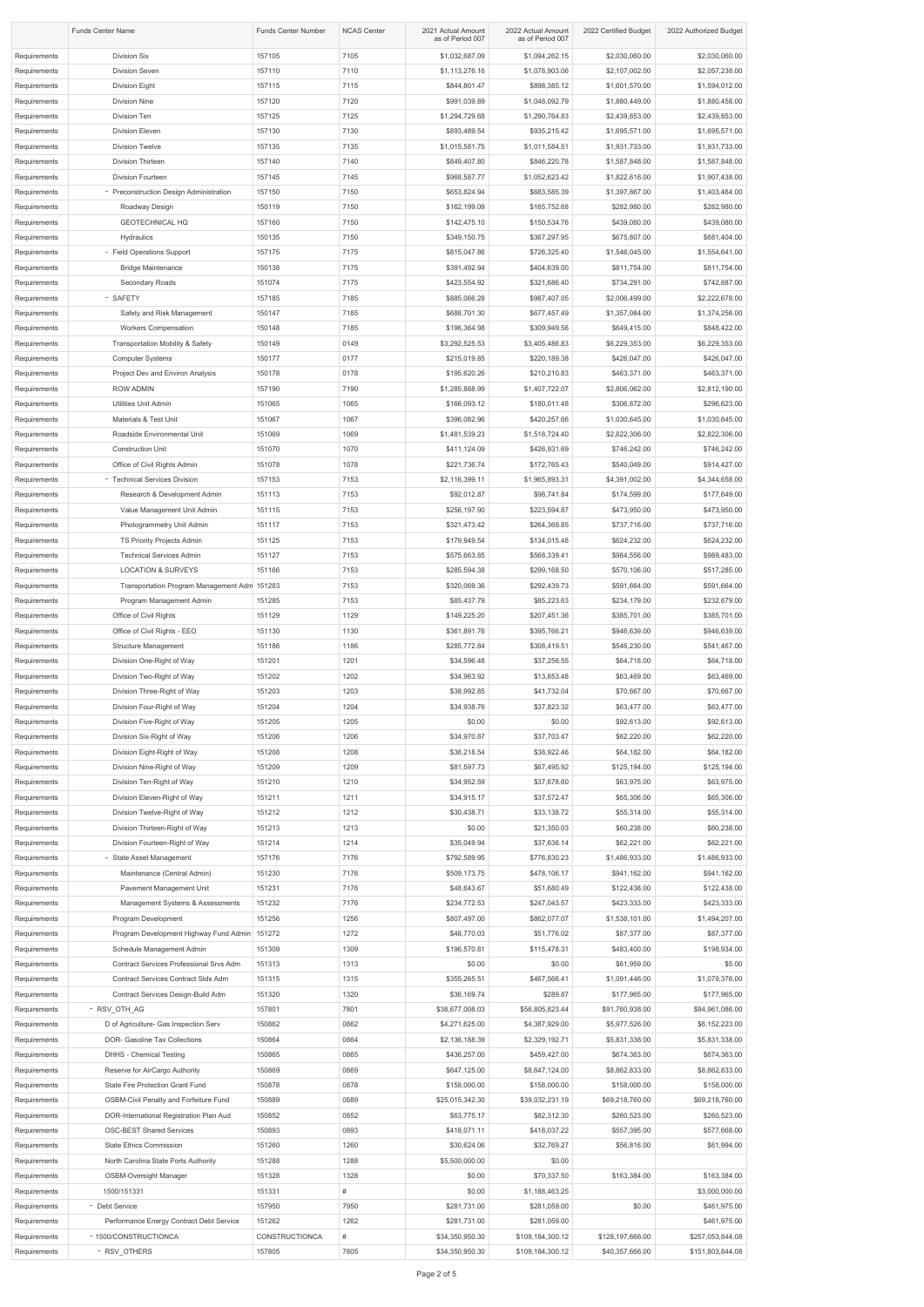| <b>Funds Center Name</b>     |                                                                    | <b>Funds Center Number</b>      | <b>NCAS Center</b> | 2021 Actual Amount<br>as of Period 007 | 2022 Actual Amount<br>as of Period 007 | 2022 Certified Budget            | 2022 Authorized Budget           |
|------------------------------|--------------------------------------------------------------------|---------------------------------|--------------------|----------------------------------------|----------------------------------------|----------------------------------|----------------------------------|
| Requirements                 | Division Six                                                       | 157105                          | 7105               | \$1,032,687.09                         | \$1,094,262.15                         | \$2,030,060.00                   | \$2,030,060.00                   |
| Requirements                 | <b>Division Seven</b>                                              | 157110                          | 7110               | \$1,113,276.16                         | \$1,078,903.06                         | \$2,107,002.00                   | \$2,057,238.00                   |
| Requirements                 | Division Eight                                                     | 157115                          | 7115               | \$844,801.47                           | \$898,385.12                           | \$1,601,570.00                   | \$1,594,012.00                   |
| Requirements                 | <b>Division Nine</b>                                               | 157120                          | 7120               | \$991,039.89                           | \$1,048,092.79                         | \$1,880,449.00                   | \$1,880,458.00                   |
| Requirements                 | Division Ten                                                       | 157125                          | 7125               | \$1,294,729.68                         | \$1,290,764.83                         | \$2,439,853.00                   | \$2,439,853.00                   |
| Requirements                 | Division Eleven                                                    | 157130                          | 7130               | \$893,489.54                           | \$935,215.42                           | \$1,695,571.00                   | \$1,695,571.00                   |
| Requirements                 | <b>Division Twelve</b>                                             | 157135                          | 7135               | \$1,015,581.75                         | \$1,011,584.51                         | \$1,931,733.00                   | \$1,931,733.00                   |
| Requirements                 | Division Thirteen                                                  | 157140                          | 7140               | \$849,407.80                           | \$846,220.78                           | \$1,587,848.00                   | \$1,587,848.00                   |
| Requirements<br>Requirements | Division Fourteen<br>- Preconstruction Design Administration       | 157145<br>157150                | 7145<br>7150       | \$968,587.77<br>\$653,824.94           | \$1,052,623.42<br>\$683,585.39         | \$1,822,616.00<br>\$1,397,867.00 | \$1,907,438.00<br>\$1,403,464.00 |
| Requirements                 | Roadway Design                                                     | 150119                          | 7150               | \$162,199.09                           | \$165,752.68                           | \$282,980.00                     | \$282,980.00                     |
| Requirements                 | <b>GEOTECHNICAL HQ</b>                                             | 157160                          | 7150               | \$142,475.10                           | \$150,534.76                           | \$439,080.00                     | \$439,080.00                     |
| Requirements                 | Hydraulics                                                         | 150135                          | 7150               | \$349,150.75                           | \$367,297.95                           | \$675,807.00                     | \$681,404.00                     |
| Requirements                 | - Field Operations Support                                         | 157175                          | 7175               | \$815,047.86                           | \$726,325.40                           | \$1,546,045.00                   | \$1,554,641.00                   |
| Requirements                 | <b>Bridge Maintenance</b>                                          | 150138                          | 7175               | \$391,492.94                           | \$404,639.00                           | \$811,754.00                     | \$811,754.00                     |
| Requirements                 | Secondary Roads                                                    | 151074                          | 7175               | \$423,554.92                           | \$321,686.40                           | \$734,291.00                     | \$742,887.00                     |
| Requirements                 | - SAFETY                                                           | 157185                          | 7185               | \$885,066.28                           | \$987,407.05                           | \$2,006,499.00                   | \$2,222,678.00                   |
| Requirements                 | Safety and Risk Management                                         | 150147                          | 7185               | \$688,701.30                           | \$677,457.49                           | \$1,357,084.00                   | \$1,374,256.00                   |
| Requirements                 | <b>Workers Compensation</b>                                        | 150148                          | 7185               | \$196,364.98                           | \$309,949.56                           | \$649,415.00                     | \$848,422.00                     |
| Requirements                 | <b>Transportation Mobility &amp; Safety</b>                        | 150149                          | 0149               | \$3,292,525.53                         | \$3,405,486.83                         | \$6,229,353.00                   | \$6,229,353.00                   |
| Requirements<br>Requirements | <b>Computer Systems</b><br>Project Dev and Environ Analysis        | 150177<br>150178                | 0177<br>0178       | \$215,019.85<br>\$195,620.26           | \$220,189.38<br>\$210,210.83           | \$426,047.00<br>\$463,371.00     | \$426,047.00<br>\$463,371.00     |
| Requirements                 | <b>ROW ADMIN</b>                                                   | 157190                          | 7190               | \$1,285,888.99                         | \$1,407,722.07                         | \$2,806,062.00                   | \$2,812,190.00                   |
| Requirements                 | Utilities Unit Admin                                               | 151065                          | 1065               | \$166,093.12                           | \$180,011.48                           | \$306,872.00                     | \$296,623.00                     |
| Requirements                 | Materials & Test Unit                                              | 151067                          | 1067               | \$396,082.96                           | \$420,257.66                           | \$1,030,645.00                   | \$1,030,645.00                   |
| Requirements                 | Roadside Environmental Unit                                        | 151069                          | 1069               | \$1,481,539.23                         | \$1,518,724.40                         | \$2,822,306.00                   | \$2,822,306.00                   |
| Requirements                 | <b>Construction Unit</b>                                           | 151070                          | 1070               | \$411,124.09                           | \$426,931.69                           | \$746,242.00                     | \$746,242.00                     |
| Requirements                 | Office of Civil Rights Admin                                       | 151078                          | 1078               | \$221,736.74                           | \$172,765.43                           | \$540,049.00                     | \$914,427.00                     |
| Requirements                 | - Technical Services Division                                      | 157153                          | 7153               | \$2,116,399.11                         | \$1,965,893.31                         | \$4,391,002.00                   | \$4,344,658.00                   |
| Requirements                 | Research & Development Admin                                       | 151113                          | 7153               | \$92,012.87                            | \$98,741.84                            | \$174,599.00                     | \$177,649.00                     |
| Requirements                 | Value Management Unit Admin                                        | 151115                          | 7153               | \$256,197.90                           | \$223,594.87                           | \$473,950.00                     | \$473,950.00                     |
| Requirements                 | Photogrammetry Unit Admin                                          | 151117                          | 7153               | \$321,473.42                           | \$264,369.85                           | \$737,716.00                     | \$737,716.00                     |
| Requirements                 | TS Priority Projects Admin                                         | 151125                          | 7153               | \$179,949.54                           | \$134,015.48                           | \$624,232.00                     | \$624,232.00                     |
| Requirements<br>Requirements | <b>Technical Services Admin</b><br><b>LOCATION &amp; SURVEYS</b>   | 151127<br>151166                | 7153<br>7153       | \$575,663.85<br>\$285,594.38           | \$568,339.41<br>\$299,168.50           | \$984,556.00<br>\$570,106.00     | \$989,483.00<br>\$517,285.00     |
| Requirements                 | Transportation Program Management Adm 151283                       |                                 | 7153               | \$320,069.36                           | \$292,439.73                           | \$591,664.00                     | \$591,664.00                     |
| Requirements                 | Program Management Admin                                           | 151285                          | 7153               | \$85,437.79                            | \$85,223.63                            | \$234,179.00                     | \$232,679.00                     |
| Requirements                 | Office of Civil Rights                                             | 151129                          | 1129               | \$149,225.20                           | \$207,451.36                           | \$385,701.00                     | \$385,701.00                     |
| Requirements                 | Office of Civil Rights - EEO                                       | 151130                          | 1130               | \$361,891.76                           | \$395,766.21                           | \$946,639.00                     | \$946,639.00                     |
| Requirements                 | <b>Structure Management</b>                                        | 151186                          | 1186               | \$285,772.84                           | \$308,419.51                           | \$546,230.00                     | \$541,467.00                     |
| Requirements                 | Division One-Right of Way                                          | 151201                          | 1201               | \$34,596.48                            | \$37,256.55                            | \$64,718.00                      | \$64,718.00                      |
| Requirements                 | Division Two-Right of Way                                          | 151202                          | 1202               | \$34,963.92                            | \$13,853.48                            | \$63,469.00                      | \$63,469.00                      |
| Requirements                 | Division Three-Right of Way                                        | 151203                          | 1203               | \$38,992.85                            | \$41,732.04                            | \$70,667.00                      | \$70,667.00                      |
| Requirements                 | Division Four-Right of Way                                         | 151204                          | 1204               | \$34,938.76                            | \$37,823.32                            | \$63,477.00                      | \$63,477.00                      |
| Requirements                 | Division Five-Right of Way                                         | 151205                          | 1205               | \$0.00                                 | \$0.00                                 | \$92,613.00                      | \$92,613.00                      |
| Requirements<br>Requirements | Division Six-Right of Way<br>Division Eight-Right of Way           | 151206<br>151208                | 1206<br>1208       | \$34,970.87<br>\$36,218.54             | \$37,703.47<br>\$38,922.46             | \$62,220.00<br>\$64,182.00       | \$62,220.00<br>\$64,182.00       |
| Requirements                 | Division Nine-Right of Way                                         | 151209                          | 1209               | \$81,597.73                            | \$67,495.92                            | \$125,194.00                     | \$125,194.00                     |
| Requirements                 | Division Ten-Right of Way                                          | 151210                          | 1210               | \$34,952.59                            | \$37,678.60                            | \$63,975.00                      | \$63,975.00                      |
| Requirements                 | Division Eleven-Right of Way                                       | 151211                          | 1211               | \$34,915.17                            | \$37,572.47                            | \$65,306.00                      | \$65,306.00                      |
| Requirements                 | Division Twelve-Right of Way                                       | 151212                          | 1212               | \$30,438.71                            | \$33,138.72                            | \$55,314.00                      | \$55,314.00                      |
| Requirements                 | Division Thirteen-Right of Way                                     | 151213                          | 1213               | \$0.00                                 | \$21,350.03                            | \$60,238.00                      | \$60,238.00                      |
| Requirements                 | Division Fourteen-Right of Way                                     | 151214                          | 1214               | \$35,049.94                            | \$37,636.14                            | \$62,221.00                      | \$62,221.00                      |
| Requirements                 | - State Asset Management                                           | 157176                          | 7176               | \$792,589.95                           | \$776,830.23                           | \$1,486,933.00                   | \$1,486,933.00                   |
| Requirements                 | Maintenance (Central Admin)                                        | 151230                          | 7176               | \$509,173.75                           | \$478,106.17                           | \$941,162.00                     | \$941,162.00                     |
| Requirements                 | Pavement Management Unit                                           | 151231                          | 7176               | \$48,643.67                            | \$51,680.49                            | \$122,438.00                     | \$122,438.00                     |
| Requirements<br>Requirements | Management Systems & Assessments<br>Program Development            | 151232<br>151256                | 7176<br>1256       | \$234,772.53<br>\$807,497.00           | \$247,043.57<br>\$862,077.07           | \$423,333.00<br>\$1,538,101.00   | \$423,333.00<br>\$1,494,207.00   |
| Requirements                 | Program Development Highway Fund Admin 151272                      |                                 | 1272               | \$48,770.03                            | \$51,776.02                            | \$87,377.00                      | \$87,377.00                      |
| Requirements                 | Schedule Management Admin                                          | 151309                          | 1309               | \$196,570.81                           | \$115,478.31                           | \$483,400.00                     | \$198,934.00                     |
| Requirements                 | Contract Services Professional Srvs Adm                            | 151313                          | 1313               | \$0.00                                 | \$0.00                                 | \$61,959.00                      | \$5.00                           |
| Requirements                 | Contract Services Contract Stds Adm                                | 151315                          | 1315               | \$355,265.51                           | \$467,566.41                           | \$1,091,446.00                   | \$1,079,376.00                   |
| Requirements                 | Contract Services Design-Build Adm                                 | 151320                          | 1320               | \$36,169.74                            | \$289.87                               | \$177,965.00                     | \$177,965.00                     |
| Requirements                 | - RSV_OTH_AG                                                       | 157801                          | 7801               | \$38,677,008.03                        | \$56,805,823.44                        | \$91,760,938.00                  | \$94,961,086.00                  |
| Requirements                 | D of Agriculture- Gas Inspection Serv                              | 150862                          | 0862               | \$4,271,625.00                         | \$4,387,929.00                         | \$5,977,526.00                   | \$6,152,223.00                   |
| Requirements                 | DOR- Gasoline Tax Collections                                      | 150864                          | 0864               | \$2,136,188.39                         | \$2,329,192.71                         | \$5,831,338.00                   | \$5,831,338.00                   |
| Requirements                 | <b>DHHS - Chemical Testing</b>                                     | 150865                          | 0865               | \$436,257.00<br>\$647,125.00           | \$459,427.00                           | \$674,363.00                     | \$674,363.00                     |
| Requirements<br>Requirements | Reserve for AirCargo Authority<br>State Fire Protection Grant Fund | 150869<br>150878                | 0869<br>0878       | \$158,000.00                           | \$8,647,124.00<br>\$158,000.00         | \$8,862,833.00<br>\$158,000.00   | \$8,862,833.00<br>\$158,000.00   |
| Requirements                 | <b>OSBM-Civil Penalty and Forfeiture Fund</b>                      | 150889                          | 0889               | \$25,015,342.30                        | \$39,032,231.19                        | \$69,218,760.00                  | \$69,218,760.00                  |
| Requirements                 | DOR-International Registration Plan Aud                            | 150852                          | 0852               | \$63,775.17                            | \$82,312.30                            | \$260,523.00                     | \$260,523.00                     |
| Requirements                 | <b>OSC-BEST Shared Services</b>                                    | 150893                          | 0893               | \$418,071.11                           | \$418,037.22                           | \$557,395.00                     | \$577,668.00                     |
| Requirements                 | <b>State Ethics Commission</b>                                     | 151260                          | 1260               | \$30,624.06                            | \$32,769.27                            | \$56,816.00                      | \$61,994.00                      |
| Requirements                 | North Carolina State Ports Authority                               | 151288                          | 1288               | \$5,500,000.00                         | \$0.00                                 |                                  |                                  |
| Requirements                 | <b>OSBM-Oversight Manager</b>                                      | 151328                          | 1328               | \$0.00                                 | \$70,337.50                            | \$163,384.00                     | \$163,384.00                     |
| Requirements                 | 1500/151331                                                        | 151331                          | #                  | \$0.00                                 | \$1,188,463.25                         |                                  | \$3,000,000.00                   |
| Requirements                 | - Debt Service                                                     | 157950                          | 7950               | \$281,731.00                           | \$281,059.00                           | \$0.00                           | \$461,975.00                     |
| Requirements<br>Requirements | Performance Energy Contract Debt Service<br>- 1500/CONSTRUCTIONCA  | 151262<br><b>CONSTRUCTIONCA</b> | 1262<br>#          | \$281,731.00<br>\$34,350,950.30        | \$281,059.00<br>\$109,184,300.12       | \$128,197,666.00                 | \$461,975.00<br>\$257,053,844.08 |
| Requirements                 | - RSV_OTHERS                                                       | 157805                          | 7805               | \$34,350,950.30                        | \$109,184,300.12                       | \$40,357,666.00                  | \$151,803,844.08                 |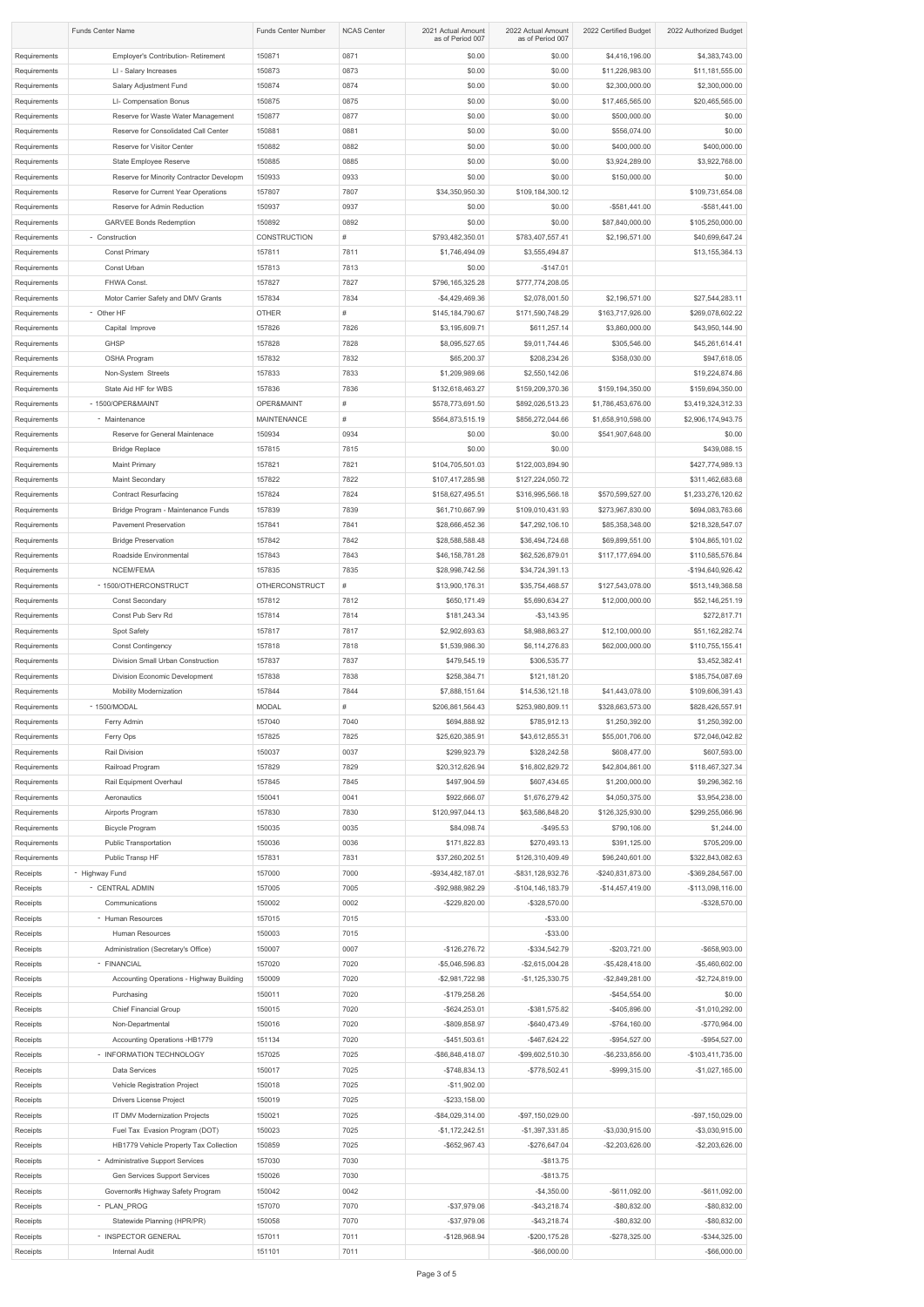|                              | <b>Funds Center Name</b>                                                    | <b>Funds Center Number</b>      | <b>NCAS Center</b> | 2021 Actual Amount<br>as of Period 007 | 2022 Actual Amount<br>as of Period 007 | 2022 Certified Budget               | 2022 Authorized Budget               |
|------------------------------|-----------------------------------------------------------------------------|---------------------------------|--------------------|----------------------------------------|----------------------------------------|-------------------------------------|--------------------------------------|
| Requirements                 | Employer's Contribution- Retirement                                         | 150871                          | 0871               | \$0.00                                 | \$0.00                                 | \$4,416,196.00                      | \$4,383,743.00                       |
| Requirements                 | LI - Salary Increases                                                       | 150873                          | 0873               | \$0.00                                 | \$0.00                                 | \$11,226,983.00                     | \$11,181,555.00                      |
| Requirements                 | Salary Adjustment Fund                                                      | 150874                          | 0874               | \$0.00                                 | \$0.00                                 | \$2,300,000.00                      | \$2,300,000.00                       |
| Requirements                 | LI- Compensation Bonus                                                      | 150875                          | 0875               | \$0.00                                 | \$0.00                                 | \$17,465,565.00                     | \$20,465,565.00                      |
| Requirements                 | Reserve for Waste Water Management                                          | 150877                          | 0877               | \$0.00                                 | \$0.00                                 | \$500,000.00                        | \$0.00                               |
| Requirements<br>Requirements | Reserve for Consolidated Call Center<br>Reserve for Visitor Center          | 150881<br>150882                | 0881<br>0882       | \$0.00<br>\$0.00                       | \$0.00<br>\$0.00                       | \$556,074.00<br>\$400,000.00        | \$0.00<br>\$400,000.00               |
| Requirements                 | State Employee Reserve                                                      | 150885                          | 0885               | \$0.00                                 | \$0.00                                 | \$3,924,289.00                      | \$3,922,768.00                       |
| Requirements                 | Reserve for Minority Contractor Developm                                    | 150933                          | 0933               | \$0.00                                 | \$0.00                                 | \$150,000.00                        | \$0.00                               |
| Requirements                 | Reserve for Current Year Operations                                         | 157807                          | 7807               | \$34,350,950.30                        | \$109,184,300.12                       |                                     | \$109,731,654.08                     |
| Requirements                 | Reserve for Admin Reduction                                                 | 150937                          | 0937               | \$0.00                                 | \$0.00                                 | $-$ \$581,441.00                    | $-$ \$581,441.00                     |
| Requirements                 | <b>GARVEE Bonds Redemption</b>                                              | 150892                          | 0892               | \$0.00                                 | \$0.00                                 | \$87,840,000.00                     | \$105,250,000.00                     |
| Requirements<br>Requirements | - Construction<br><b>Const Primary</b>                                      | <b>CONSTRUCTION</b><br>157811   | #<br>7811          | \$793,482,350.01<br>\$1,746,494.09     | \$783,407,557.41<br>\$3,555,494.87     | \$2,196,571.00                      | \$40,699,647.24<br>\$13,155,364.13   |
| Requirements                 | Const Urban                                                                 | 157813                          | 7813               | \$0.00                                 | $-$147.01$                             |                                     |                                      |
| Requirements                 | FHWA Const.                                                                 | 157827                          | 7827               | \$796,165,325.28                       | \$777,774,208.05                       |                                     |                                      |
| Requirements                 | Motor Carrier Safety and DMV Grants                                         | 157834                          | 7834               | $-$4,429,469.36$                       | \$2,078,001.50                         | \$2,196,571.00                      | \$27,544,283.11                      |
| Requirements                 | - Other HF                                                                  | <b>OTHER</b>                    | #                  | \$145,184,790.67                       | \$171,590,748.29                       | \$163,717,926.00                    | \$269,078,602.22                     |
| Requirements                 | Capital Improve                                                             | 157826                          | 7826               | \$3,195,609.71                         | \$611,257.14                           | \$3,860,000.00                      | \$43,950,144.90                      |
| Requirements                 | <b>GHSP</b><br>OSHA Program                                                 | 157828<br>157832                | 7828<br>7832       | \$8,095,527.65<br>\$65,200.37          | \$9,011,744.46<br>\$208,234.26         | \$305,546.00<br>\$358,030.00        | \$45,261,614.41<br>\$947,618.05      |
| Requirements<br>Requirements | Non-System Streets                                                          | 157833                          | 7833               | \$1,209,989.66                         | \$2,550,142.06                         |                                     | \$19,224,874.86                      |
| Requirements                 | State Aid HF for WBS                                                        | 157836                          | 7836               | \$132,618,463.27                       | \$159,209,370.36                       | \$159,194,350.00                    | \$159,694,350.00                     |
| Requirements                 | - 1500/OPER&MAINT                                                           | OPER&MAINT                      | $\#$               | \$578,773,691.50                       | \$892,026,513.23                       | \$1,786,453,676.00                  | \$3,419,324,312.33                   |
| Requirements                 | - Maintenance                                                               | <b>MAINTENANCE</b>              | #                  | \$564,873,515.19                       | \$856,272,044.66                       | \$1,658,910,598.00                  | \$2,906,174,943.75                   |
| Requirements                 | Reserve for General Maintenace                                              | 150934                          | 0934               | \$0.00                                 | \$0.00                                 | \$541,907,648.00                    | \$0.00                               |
| Requirements                 | <b>Bridge Replace</b>                                                       | 157815                          | 7815               | \$0.00                                 | \$0.00                                 |                                     | \$439,088.15                         |
| Requirements<br>Requirements | <b>Maint Primary</b><br>Maint Secondary                                     | 157821<br>157822                | 7821<br>7822       | \$104,705,501.03<br>\$107,417,285.98   | \$122,003,894.90<br>\$127,224,050.72   |                                     | \$427,774,989.13<br>\$311,462,683.68 |
| Requirements                 | <b>Contract Resurfacing</b>                                                 | 157824                          | 7824               | \$158,627,495.51                       | \$316,995,566.18                       | \$570,599,527.00                    | \$1,233,276,120.62                   |
| Requirements                 | Bridge Program - Maintenance Funds                                          | 157839                          | 7839               | \$61,710,667.99                        | \$109,010,431.93                       | \$273,967,830.00                    | \$694,083,763.66                     |
| Requirements                 | <b>Pavement Preservation</b>                                                | 157841                          | 7841               | \$28,666,452.36                        | \$47,292,106.10                        | \$85,358,348.00                     | \$218,328,547.07                     |
| Requirements                 | <b>Bridge Preservation</b>                                                  | 157842                          | 7842               | \$28,588,588.48                        | \$36,494,724.68                        | \$69,899,551.00                     | \$104,865,101.02                     |
| Requirements                 | Roadside Environmental                                                      | 157843                          | 7843               | \$46,158,781.28                        | \$62,526,879.01                        | \$117,177,694.00                    | \$110,585,576.84                     |
| Requirements                 | NCEM/FEMA                                                                   | 157835                          | 7835               | \$28,998,742.56                        | \$34,724,391.13                        |                                     | -\$194,640,926.42                    |
| Requirements                 | - 1500/OTHERCONSTRUCT<br>Const Secondary                                    | <b>OTHERCONSTRUCT</b><br>157812 | $\#$<br>7812       | \$13,900,176.31<br>\$650,171.49        | \$35,754,468.57<br>\$5,690,634.27      | \$127,543,078.00<br>\$12,000,000.00 | \$513,149,368.58<br>\$52,146,251.19  |
| Requirements<br>Requirements | Const Pub Serv Rd                                                           | 157814                          | 7814               | \$181,243.34                           | $-$ \$3,143.95                         |                                     | \$272,817.71                         |
| Requirements                 | <b>Spot Safety</b>                                                          | 157817                          | 7817               | \$2,902,693.63                         | \$8,988,863.27                         | \$12,100,000.00                     | \$51,162,282.74                      |
| Requirements                 | <b>Const Contingency</b>                                                    | 157818                          | 7818               | \$1,539,986.30                         | \$6,114,276.83                         | \$62,000,000.00                     | \$110,755,155.41                     |
| Requirements                 | Division Small Urban Construction                                           | 157837                          | 7837               | \$479,545.19                           | \$306,535.77                           |                                     | \$3,452,382.41                       |
| Requirements                 | Division Economic Development                                               | 157838                          | 7838               | \$258,384.71                           | \$121,181.20                           |                                     | \$185,754,087.69                     |
| Requirements                 | <b>Mobility Modernization</b>                                               | 157844                          | 7844               | \$7,888,151.64                         | \$14,536,121.18                        | \$41,443,078.00                     | \$109,606,391.43                     |
| Requirements<br>Requirements | - 1500/MODAL<br>Ferry Admin                                                 | <b>MODAL</b><br>157040          | $\#$<br>7040       | \$206,861,564.43<br>\$694,888.92       | \$253,980,809.11<br>\$785,912.13       | \$328,663,573.00<br>\$1,250,392.00  | \$828,426,557.91<br>\$1,250,392.00   |
| Requirements                 | Ferry Ops                                                                   | 157825                          | 7825               | \$25,620,385.91                        | \$43,612,855.31                        | \$55,001,706.00                     | \$72,046,042.82                      |
| Requirements                 | Rail Division                                                               | 150037                          | 0037               | \$299,923.79                           | \$328,242.58                           | \$608,477.00                        | \$607,593.00                         |
| Requirements                 | Railroad Program                                                            | 157829                          | 7829               | \$20,312,626.94                        | \$16,802,829.72                        | \$42,804,861.00                     | \$118,467,327.34                     |
| Requirements                 | Rail Equipment Overhaul                                                     | 157845                          | 7845               | \$497,904.59                           | \$607,434.65                           | \$1,200,000.00                      | \$9,296,362.16                       |
| Requirements                 | Aeronautics                                                                 | 150041                          | 0041               | \$922,666.07                           | \$1,676,279.42                         | \$4,050,375.00                      | \$3,954,238.00                       |
| Requirements<br>Requirements | Airports Program<br><b>Bicycle Program</b>                                  | 157830<br>150035                | 7830<br>0035       | \$120,997,044.13<br>\$84,098.74        | \$63,586,848.20<br>$-$ \$495.53        | \$126,325,930.00<br>\$790,106.00    | \$299,255,066.96<br>\$1,244.00       |
| Requirements                 | <b>Public Transportation</b>                                                | 150036                          | 0036               | \$171,822.83                           | \$270,493.13                           | \$391,125.00                        | \$705,209.00                         |
| Requirements                 | Public Transp HF                                                            | 157831                          | 7831               | \$37,260,202.51                        | \$126,310,409.49                       | \$96,240,601.00                     | \$322,843,082.63                     |
| Receipts                     | - Highway Fund                                                              | 157000                          | 7000               | -\$934,482,187.01                      | -\$831,128,932.76                      | -\$240,831,873.00                   | -\$369,284,567.00                    |
| Receipts                     | - CENTRAL ADMIN                                                             | 157005                          | 7005               | -\$92,988,982.29                       | -\$104,146,183.79                      | $-$14,457,419.00$                   | -\$113,098,116.00                    |
| Receipts                     | Communications                                                              | 150002                          | 0002               | $-$229,820.00$                         | -\$328,570.00                          |                                     | -\$328,570.00                        |
| Receipts                     | - Human Resources                                                           | 157015                          | 7015<br>7015       |                                        | $-$ \$33.00<br>$-$ \$33.00             |                                     |                                      |
| Receipts<br>Receipts         | Human Resources<br>Administration (Secretary's Office)                      | 150003<br>150007                | 0007               | $-$126,276.72$                         | $-$ \$334,542.79                       | $-$203,721.00$                      | -\$658,903.00                        |
| Receipts                     | - FINANCIAL                                                                 | 157020                          | 7020               | -\$5,046,596.83                        | $-$2,615,004.28$                       | $-$ \$5,428,418.00                  | -\$5,460,602.00                      |
| Receipts                     | Accounting Operations - Highway Building                                    | 150009                          | 7020               | $-$2,981,722.98$                       | $-$1,125,330.75$                       | $-$2,849,281.00$                    | $-$2,724,819.00$                     |
| Receipts                     | Purchasing                                                                  | 150011                          | 7020               | $-$179,258.26$                         |                                        | $-$ \$454,554.00                    | \$0.00                               |
| Receipts                     | <b>Chief Financial Group</b>                                                | 150015                          | 7020               | $-$ \$624,253.01                       | -\$381,575.82                          | -\$405,896.00                       | $-$1,010,292.00$                     |
| Receipts                     | Non-Departmental                                                            | 150016                          | 7020               | -\$809,858.97                          | $-$ \$640,473.49                       | $-$764,160.00$                      | -\$770,964.00                        |
| Receipts<br>Receipts         | Accounting Operations -HB1779<br>- INFORMATION TECHNOLOGY                   | 151134<br>157025                | 7020<br>7025       | $-$ \$451,503.61<br>-\$86,848,418.07   | $-$ \$467,624.22<br>-\$99,602,510.30   | -\$954,527.00<br>$-$ \$6,233,856.00 | -\$954,527.00<br>-\$103,411,735.00   |
| Receipts                     | Data Services                                                               | 150017                          | 7025               | $-$ \$748,834.13                       | $-$778,502.41$                         | -\$999,315.00                       | $-$1,027,165.00$                     |
| Receipts                     | Vehicle Registration Project                                                | 150018                          | 7025               | $-$11,902.00$                          |                                        |                                     |                                      |
| Receipts                     | <b>Drivers License Project</b>                                              | 150019                          | 7025               | $-$ \$233,158.00                       |                                        |                                     |                                      |
| Receipts                     | IT DMV Modernization Projects                                               | 150021                          | 7025               | -\$84,029,314.00                       | -\$97,150,029.00                       |                                     | -\$97,150,029.00                     |
| Receipts                     | Fuel Tax Evasion Program (DOT)                                              | 150023                          | 7025               | $-$1,172,242.51$                       | $-$1,397,331.85$                       | -\$3,030,915.00                     | $-$3,030,915.00$                     |
| Receipts<br>Receipts         | HB1779 Vehicle Property Tax Collection<br>- Administrative Support Services | 150859<br>157030                | 7025<br>7030       | $-$ \$652,967.43                       | -\$276,647.04<br>$-$ \$813.75          | $-$ \$2,203,626.00                  | $-$ \$2,203,626.00                   |
| Receipts                     | Gen Services Support Services                                               | 150026                          | 7030               |                                        | $-$ \$813.75                           |                                     |                                      |
| Receipts                     | Governor#s Highway Safety Program                                           | 150042                          | 0042               |                                        | $-$4,350.00$                           | $-$ \$611,092.00                    | $-$ \$611,092.00                     |
| Receipts                     | - PLAN PROG                                                                 | 157070                          | 7070               | $-$ \$37,979.06                        | $-$ \$43,218.74                        | $-$ \$80,832.00                     | -\$80,832.00                         |
| Receipts                     | Statewide Planning (HPR/PR)                                                 | 150058                          | 7070               | $-$ \$37,979.06                        | $-$ \$43,218.74                        | $-$ \$80,832.00                     | -\$80,832.00                         |
| Receipts                     | - INSPECTOR GENERAL                                                         | 157011                          | 7011               | $-$128,968.94$                         | $-$200,175.28$                         | $-$ \$278,325.00                    | $-$ \$344,325.00                     |
| Receipts                     | <b>Internal Audit</b>                                                       | 151101                          | 7011               |                                        | $-$ \$66,000.00                        |                                     | -\$66,000.00                         |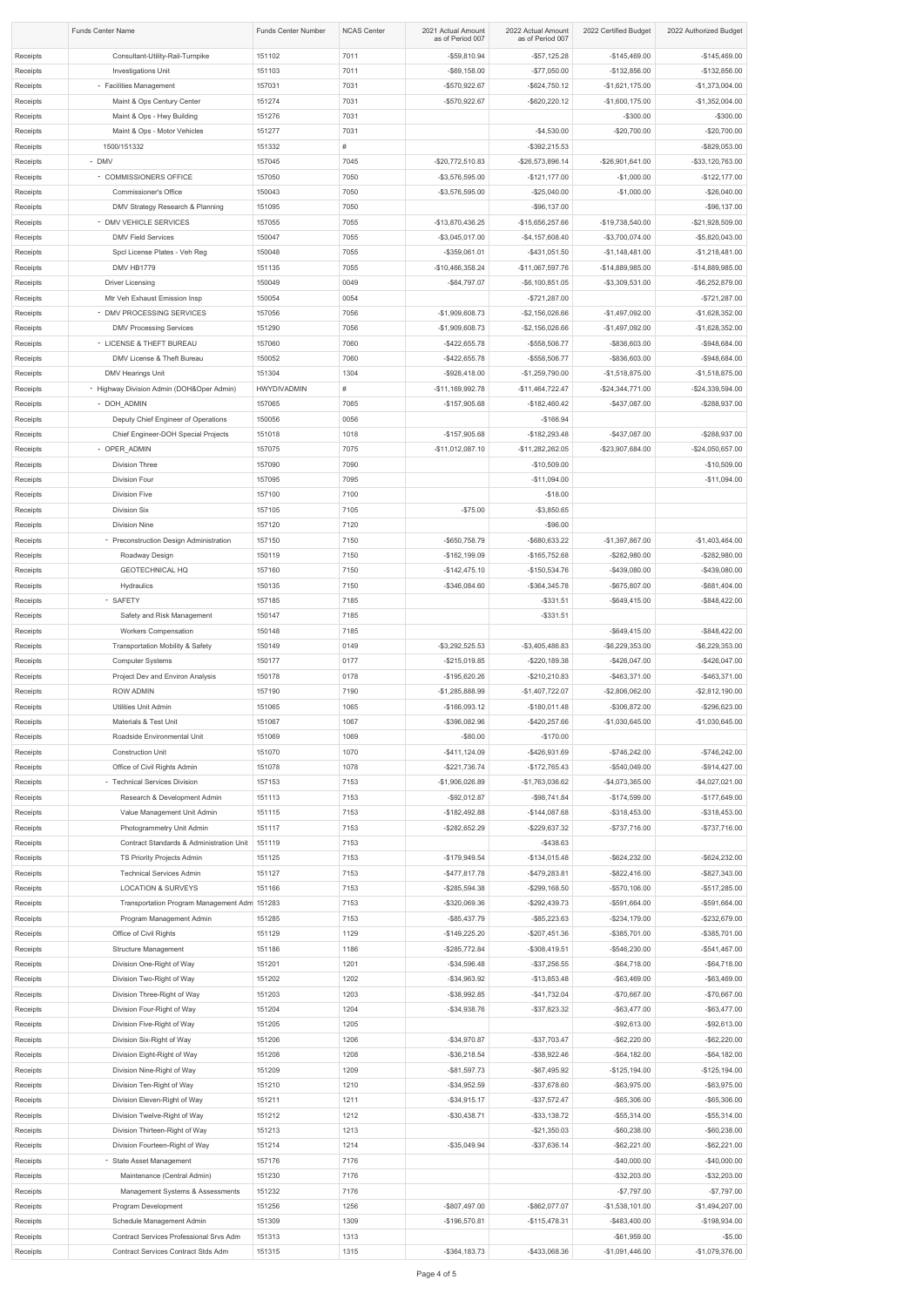|                      | <b>Funds Center Name</b>                                                   | <b>Funds Center Number</b> | <b>NCAS Center</b> | 2021 Actual Amount<br>as of Period 007 | 2022 Actual Amount<br>as of Period 007   | 2022 Certified Budget                | 2022 Authorized Budget               |
|----------------------|----------------------------------------------------------------------------|----------------------------|--------------------|----------------------------------------|------------------------------------------|--------------------------------------|--------------------------------------|
| Receipts             | Consultant-Utility-Rail-Turnpike                                           | 151102                     | 7011               | $-$ \$59,810.94                        | $-$ \$57,125.28                          | $-$145,469.00$                       | $-$145,469.00$                       |
| Receipts             | <b>Investigations Unit</b>                                                 | 151103                     | 7011               | $-$ \$69,158.00                        | $-$77,050.00$                            | $-$132,856.00$                       | $-$132,856.00$                       |
| Receipts             | - Facilities Management                                                    | 157031                     | 7031               | -\$570,922.67                          | $-$ \$624,750.12                         | $-$1,621,175.00$                     | $-$1,373,004.00$                     |
| Receipts<br>Receipts | Maint & Ops Century Center<br>Maint & Ops - Hwy Building                   | 151274<br>151276           | 7031<br>7031       | -\$570,922.67                          | $-$ \$620,220.12                         | $-$1,600,175.00$<br>$-$300.00$       | $-$1,352,004.00$<br>$-$ \$300.00     |
| Receipts             | Maint & Ops - Motor Vehicles                                               | 151277                     | 7031               |                                        | $-$4,530.00$                             | $-$20,700.00$                        | $-$20,700.00$                        |
| Receipts             | 1500/151332                                                                | 151332                     | #                  |                                        | $-$ \$392,215.53                         |                                      | -\$829,053.00                        |
| Receipts             | - DMV                                                                      | 157045                     | 7045               | -\$20,772,510.83                       | -\$26,573,896.14                         | -\$26,901,641.00                     | -\$33,120,763.00                     |
| Receipts             | - COMMISSIONERS OFFICE                                                     | 157050                     | 7050               | $-$ \$3,576,595.00                     | $-$121,177.00$                           | $-$1,000.00$                         | $-$122,177.00$                       |
| Receipts             | Commissioner's Office                                                      | 150043                     | 7050               | $-$ \$3,576,595.00                     | $-$25,040.00$                            | $-$1,000.00$                         | $-$ \$26,040.00                      |
| Receipts<br>Receipts | DMV Strategy Research & Planning<br>- DMV VEHICLE SERVICES                 | 151095<br>157055           | 7050<br>7055       | -\$13,870,436.25                       | $-$ \$96,137.00<br>-\$15,656,257.66      | -\$19,738,540.00                     | $-$ \$96,137.00<br>-\$21,928,509.00  |
| Receipts             | <b>DMV Field Services</b>                                                  | 150047                     | 7055               | $-$ \$3,045,017.00                     | $-$4,157,608.40$                         | -\$3,700,074.00                      | $-$ \$5,820,043.00                   |
| Receipts             | Spcl License Plates - Veh Reg                                              | 150048                     | 7055               | -\$359,061.01                          | $-$ \$431,051.50                         | $-$1,148,481.00$                     | $-$1,218,481.00$                     |
| Receipts             | DMV HB1779                                                                 | 151135                     | 7055               | -\$10,466,358.24                       | -\$11,067,597.76                         | -\$14,889,985.00                     | -\$14,889,985.00                     |
| Receipts             | <b>Driver Licensing</b>                                                    | 150049                     | 0049               | $-$64,797.07$                          | $-$ \$6,100,851.05                       | $-$ \$3,309,531.00                   | $-$ \$6,252,879.00                   |
| Receipts             | Mtr Veh Exhaust Emission Insp                                              | 150054                     | 0054               |                                        | $-$721,287.00$                           |                                      | $-$721,287.00$                       |
| Receipts<br>Receipts | - DMV PROCESSING SERVICES<br><b>DMV Processing Services</b>                | 157056<br>151290           | 7056<br>7056       | $-$1,909,608.73$<br>$-$1,909,608.73$   | $-$ \$2,156,026.66<br>$-$ \$2,156,026.66 | $-$1,497,092.00$<br>$-$1,497,092.00$ | $-$1,628,352.00$<br>$-$1,628,352.00$ |
| Receipts             | - LICENSE & THEFT BUREAU                                                   | 157060                     | 7060               | $-$ \$422,655.78                       | -\$558,506.77                            | -\$836,603.00                        | -\$948,684.00                        |
| Receipts             | DMV License & Theft Bureau                                                 | 150052                     | 7060               | $-$ \$422,655.78                       | -\$558,506.77                            | -\$836,603.00                        | -\$948,684.00                        |
| Receipts             | DMV Hearings Unit                                                          | 151304                     | 1304               | $-$ \$928,418.00                       | $-$1,259,790.00$                         | $-$1,518,875.00$                     | $-$1,518,875.00$                     |
| Receipts             | - Highway Division Admin (DOH&Oper Admin)                                  | HWYDIVADMIN                | #                  | $-$11,169,992.78$                      | $-$11,464,722.47$                        | -\$24,344,771.00                     | -\$24,339,594.00                     |
| Receipts             | - DOH ADMIN                                                                | 157065                     | 7065               | $-$157,905.68$                         | $-$182,460.42$                           | $-$437,087.00$                       | -\$288,937.00                        |
| Receipts<br>Receipts | Deputy Chief Engineer of Operations<br>Chief Engineer-DOH Special Projects | 150056<br>151018           | 0056<br>1018       | $-$157,905.68$                         | $-$166.94$<br>$-$182,293.48$             | $-$437,087.00$                       | -\$288,937.00                        |
| Receipts             | - OPER_ADMIN                                                               | 157075                     | 7075               | $-$11,012,087.10$                      | $-$11,282,262.05$                        | -\$23,907,684.00                     | -\$24,050,657.00                     |
| Receipts             | Division Three                                                             | 157090                     | 7090               |                                        | $-$10,509.00$                            |                                      | $-$10,509.00$                        |
| Receipts             | Division Four                                                              | 157095                     | 7095               |                                        | $-$11,094.00$                            |                                      | $-$11,094.00$                        |
| Receipts             | <b>Division Five</b>                                                       | 157100                     | 7100               |                                        | $-$18.00$                                |                                      |                                      |
| Receipts             | <b>Division Six</b>                                                        | 157105                     | 7105               | $-$75.00$                              | $-$3,850.65$                             |                                      |                                      |
| Receipts<br>Receipts | <b>Division Nine</b><br>- Preconstruction Design Administration            | 157120<br>157150           | 7120<br>7150       | -\$650,758.79                          | $-$ \$96.00<br>-\$680,633.22             | $-$1,397,867.00$                     | $-$1,403,464.00$                     |
| Receipts             | Roadway Design                                                             | 150119                     | 7150               | $-$162,199.09$                         | $-$165,752.68$                           | -\$282,980.00                        | -\$282,980.00                        |
| Receipts             | <b>GEOTECHNICAL HQ</b>                                                     | 157160                     | 7150               | $-$142,475.10$                         | $-$150,534.76$                           | -\$439,080.00                        | -\$439,080.00                        |
| Receipts             | Hydraulics                                                                 | 150135                     | 7150               | -\$346,084.60                          | -\$364,345.78                            | -\$675,807.00                        | -\$681,404.00                        |
| Receipts             | - SAFETY                                                                   | 157185                     | 7185               |                                        | $-$ \$331.51                             | $-$ \$649,415.00                     | $-$ \$848,422.00                     |
| Receipts<br>Receipts | Safety and Risk Management<br>Workers Compensation                         | 150147<br>150148           | 7185<br>7185       |                                        | $-$ \$331.51                             | $-$ \$649,415.00                     | -\$848,422.00                        |
| Receipts             | <b>Transportation Mobility &amp; Safety</b>                                | 150149                     | 0149               | $-$ \$3,292,525.53                     | $-$ \$3,405,486.83                       | $-$ \$6,229,353.00                   | $-$ \$6,229,353.00                   |
| Receipts             | <b>Computer Systems</b>                                                    | 150177                     | 0177               | $-$ \$215,019.85                       | $-$220,189.38$                           | $-$426,047.00$                       | $-$ \$426,047.00                     |
| Receipts             | Project Dev and Environ Analysis                                           | 150178                     | 0178               | -\$195,620.26                          | $-$210,210.83$                           | $-$463,371.00$                       | $-$ \$463,371.00                     |
| Receipts             | <b>ROW ADMIN</b>                                                           | 157190                     | 7190               | $-$1,285,888.99$                       | $-$1,407,722.07$                         | $-$2,806,062.00$                     | $-$ \$2,812,190.00                   |
| Receipts             | <b>Utilities Unit Admin</b>                                                | 151065                     | 1065               | $-$166,093.12$                         | $-$180,011.48$                           | -\$306,872.00                        | -\$296,623.00                        |
| Receipts<br>Receipts | Materials & Test Unit<br>Roadside Environmental Unit                       | 151067<br>151069           | 1067<br>1069       | -\$396,082.96<br>$-$ \$80.00           | $-$ \$420,257.66<br>$-$170.00$           | $-$1,030,645.00$                     | $-$1,030,645.00$                     |
| Receipts             | <b>Construction Unit</b>                                                   | 151070                     | 1070               | $-$411,124.09$                         | $-$ \$426,931.69                         | $-$746,242.00$                       | $-$746,242.00$                       |
| Receipts             | Office of Civil Rights Admin                                               | 151078                     | 1078               | $-$ \$221,736.74                       | $-$172,765.43$                           | $-$540,049.00$                       | $-$ \$914,427.00                     |
| Receipts             | - Technical Services Division                                              | 157153                     | 7153               | -\$1,906,026.89                        | $-$1,763,036.62$                         | $-$4,073,365.00$                     | $-$4,027,021.00$                     |
| Receipts             | Research & Development Admin                                               | 151113                     | 7153               | $-$ \$92,012.87                        | $-$ \$98,741.84                          | $-$174,599.00$                       | $-$177,649.00$                       |
| Receipts<br>Receipts | Value Management Unit Admin<br>Photogrammetry Unit Admin                   | 151115<br>151117           | 7153<br>7153       | $-$182,492.88$<br>$-$ \$282,652.29     | $-$144,087.68$<br>$-$ \$229,637.32       | $-$ \$318,453.00<br>$-$737,716.00$   | $-$ \$318,453.00<br>$-$ \$737,716.00 |
| Receipts             | Contract Standards & Administration Unit                                   | 151119                     | 7153               |                                        | $-$ \$438.63                             |                                      |                                      |
| Receipts             | TS Priority Projects Admin                                                 | 151125                     | 7153               | -\$179,949.54                          | $-$134,015.48$                           | $-$ \$624,232.00                     | $-$ \$624,232.00                     |
| Receipts             | <b>Technical Services Admin</b>                                            | 151127                     | 7153               | $-$ \$477,817.78                       | $-$ \$479,283.81                         | $-$ \$822,416.00                     | -\$827,343.00                        |
| Receipts             | <b>LOCATION &amp; SURVEYS</b>                                              | 151166                     | 7153               | $-$ \$285,594.38                       | $-$ \$299,168.50                         | $-$570,106.00$                       | $-$ \$517,285.00                     |
| Receipts<br>Receipts | Transportation Program Management Adm 151283<br>Program Management Admin   | 151285                     | 7153<br>7153       | -\$320,069.36<br>$-$ \$85,437.79       | $-$ \$292,439.73<br>$-$ \$85,223.63      | -\$591,664.00<br>$-$ \$234,179.00    | -\$591,664.00<br>$-$ \$232,679.00    |
| Receipts             | Office of Civil Rights                                                     | 151129                     | 1129               | $-$149,225.20$                         | $-$207,451.36$                           | -\$385,701.00                        | $-$ \$385,701.00                     |
| Receipts             | <b>Structure Management</b>                                                | 151186                     | 1186               | $-$ \$285,772.84                       | -\$308,419.51                            | -\$546,230.00                        | $-$541,467.00$                       |
| Receipts             | Division One-Right of Way                                                  | 151201                     | 1201               | $-$34,596.48$                          | $-$37,256.55$                            | $-$ \$64,718.00                      | $-$ \$64,718.00                      |
| Receipts             | Division Two-Right of Way                                                  | 151202                     | 1202               | $-$ \$34,963.92                        | $-$13,853.48$                            | $-$ \$63,469.00                      | $-$ \$63,469.00                      |
| Receipts             | Division Three-Right of Way                                                | 151203<br>151204           | 1203<br>1204       | -\$38,992.85                           | $-$41,732.04$                            | -\$70,667.00                         | $-$70,667.00$                        |
| Receipts<br>Receipts | Division Four-Right of Way<br>Division Five-Right of Way                   | 151205                     | 1205               | $-$ \$34,938.76                        | $-$ \$37,823.32                          | $-$ \$63,477.00<br>$-$92,613.00$     | $-$ \$63,477.00<br>$-$ \$92,613.00   |
| Receipts             | Division Six-Right of Way                                                  | 151206                     | 1206               | $-$34,970.87$                          | $-$ \$37,703.47                          | $-$ \$62,220.00                      | $-$ \$62,220.00                      |
| Receipts             | Division Eight-Right of Way                                                | 151208                     | 1208               | $-$ \$36,218.54                        | $-$ \$38,922.46                          | $-$ \$64,182.00                      | $-$ \$64,182.00                      |
| Receipts             | Division Nine-Right of Way                                                 | 151209                     | 1209               | $-$ \$81,597.73                        | $-$ \$67,495.92                          | $-$125,194.00$                       | $-$125,194.00$                       |
| Receipts             | Division Ten-Right of Way                                                  | 151210                     | 1210               | $-$ \$34,952.59                        | $-$ \$37,678.60                          | $-$ \$63,975.00                      | $-$ \$63,975.00                      |
| Receipts<br>Receipts | Division Eleven-Right of Way<br>Division Twelve-Right of Way               | 151211<br>151212           | 1211<br>1212       | $-$ \$34,915.17<br>$-$ \$30,438.71     | $-$ \$37,572.47<br>$-$ \$33,138.72       | $-$ \$65,306.00<br>$-$ \$55,314.00   | $-$ \$65,306.00<br>$-$ \$55,314.00   |
| Receipts             | Division Thirteen-Right of Way                                             | 151213                     | 1213               |                                        | $-$21,350.03$                            | $-$ \$60,238.00                      | $-$ \$60,238.00                      |
| Receipts             | Division Fourteen-Right of Way                                             | 151214                     | 1214               | $-$ \$35,049.94                        | $-$ \$37,636.14                          | $-$ \$62,221.00                      | $-$ \$62,221.00                      |
| Receipts             | - State Asset Management                                                   | 157176                     | 7176               |                                        |                                          | $-$40,000.00$                        | $-$40,000.00$                        |
| Receipts             | Maintenance (Central Admin)                                                | 151230                     | 7176               |                                        |                                          | $-$ \$32,203.00                      | $-$ \$32,203.00                      |
| Receipts<br>Receipts | Management Systems & Assessments<br>Program Development                    | 151232<br>151256           | 7176<br>1256       | -\$807,497.00                          | -\$862,077.07                            | $-$7,797.00$<br>$-$1,538,101.00$     | $-$7,797.00$<br>$-$1,494,207.00$     |
| Receipts             | Schedule Management Admin                                                  | 151309                     | 1309               | -\$196,570.81                          | $-$115,478.31$                           | -\$483,400.00                        | $-$198,934.00$                       |
| Receipts             | Contract Services Professional Srvs Adm                                    | 151313                     | 1313               |                                        |                                          | $-$ \$61,959.00                      | $-$ \$5.00                           |
| Receipts             | Contract Services Contract Stds Adm                                        | 151315                     | 1315               | $-$ \$364,183.73                       | -\$433,068.36                            | $-$1,091,446.00$                     | -\$1,079,376.00                      |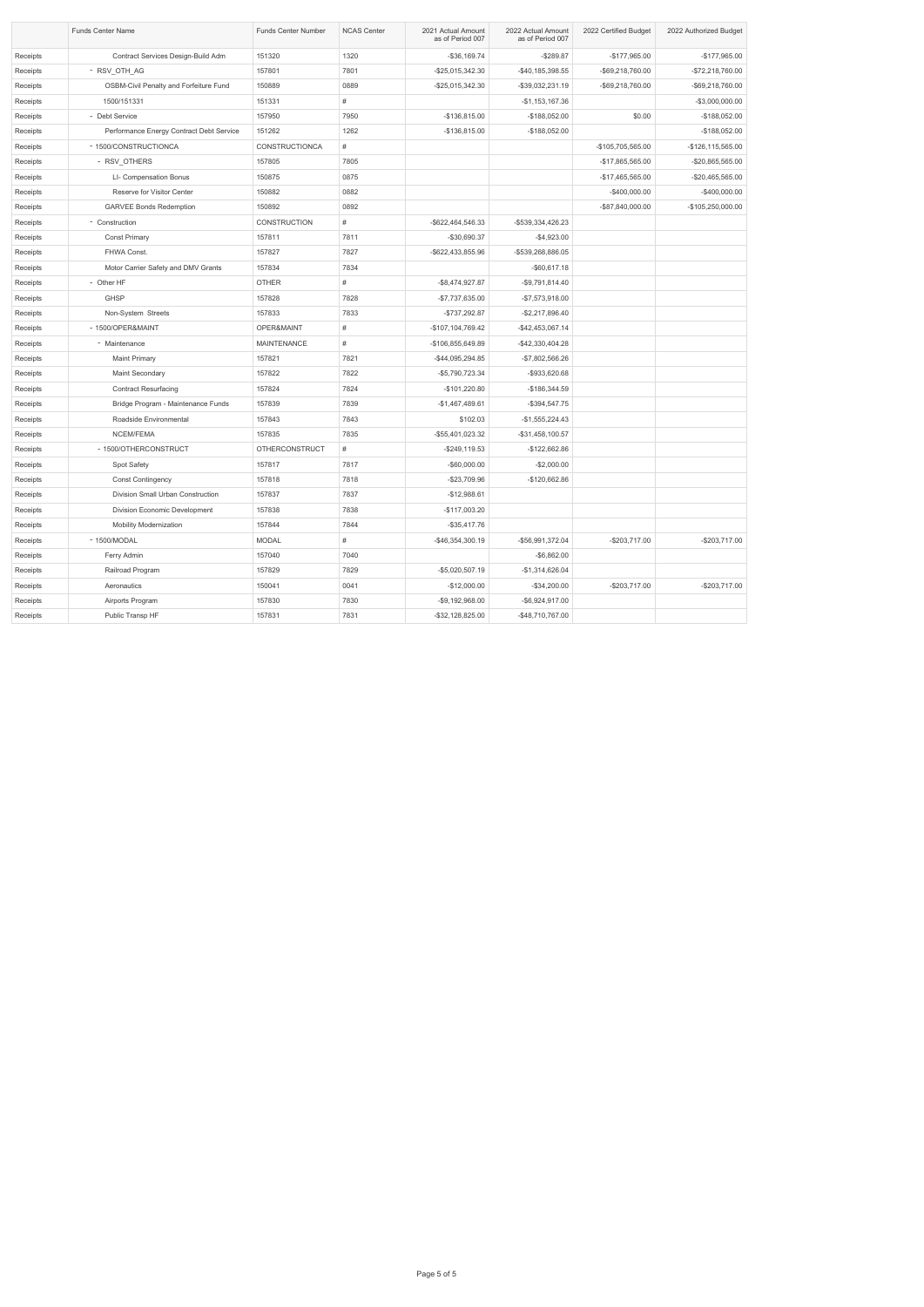|          | Funds Center Name                             | <b>Funds Center Number</b> | <b>NCAS Center</b> | 2021 Actual Amount<br>as of Period 007 | 2022 Actual Amount<br>as of Period 007 | 2022 Certified Budget | 2022 Authorized Budget |
|----------|-----------------------------------------------|----------------------------|--------------------|----------------------------------------|----------------------------------------|-----------------------|------------------------|
| Receipts | Contract Services Design-Build Adm            | 151320                     | 1320               | $-$ \$36,169.74                        | $-$289.87$                             | $-$177,965.00$        | $-$177,965.00$         |
| Receipts | - RSV_OTH_AG                                  | 157801                     | 7801               | -\$25,015,342.30                       | $-$40,185,398.55$                      | -\$69,218,760.00      | -\$72,218,760.00       |
| Receipts | <b>OSBM-Civil Penalty and Forfeiture Fund</b> | 150889                     | 0889               | -\$25,015,342.30                       | -\$39,032,231.19                       | -\$69,218,760.00      | -\$69,218,760.00       |
| Receipts | 1500/151331                                   | 151331                     | #                  |                                        | $-$1,153,167.36$                       |                       | -\$3,000,000.00        |
| Receipts | - Debt Service                                | 157950                     | 7950               | $-$136,815.00$                         | $-$188,052.00$                         | \$0.00                | $-$188,052.00$         |
| Receipts | Performance Energy Contract Debt Service      | 151262                     | 1262               | $-$136,815.00$                         | $-$188,052.00$                         |                       | $-$188,052.00$         |
| Receipts | - 1500/CONSTRUCTIONCA                         | <b>CONSTRUCTIONCA</b>      | #                  |                                        |                                        | -\$105,705,565.00     | -\$126,115,565.00      |
| Receipts | - RSV_OTHERS                                  | 157805                     | 7805               |                                        |                                        | -\$17,865,565.00      | -\$20,865,565.00       |
| Receipts | LI- Compensation Bonus                        | 150875                     | 0875               |                                        |                                        | -\$17,465,565.00      | -\$20,465,565.00       |
| Receipts | Reserve for Visitor Center                    | 150882                     | 0882               |                                        |                                        | $-$400,000.00$        | $-$400,000.00$         |
| Receipts | <b>GARVEE Bonds Redemption</b>                | 150892                     | 0892               |                                        |                                        | -\$87,840,000.00      | -\$105,250,000.00      |
| Receipts | - Construction                                | <b>CONSTRUCTION</b>        | #                  | -\$622,464,546.33                      | -\$539,334,426.23                      |                       |                        |
| Receipts | <b>Const Primary</b>                          | 157811                     | 7811               | -\$30,690.37                           | $-$4,923.00$                           |                       |                        |
| Receipts | FHWA Const.                                   | 157827                     | 7827               | -\$622,433,855.96                      | -\$539,268,886.05                      |                       |                        |
| Receipts | Motor Carrier Safety and DMV Grants           | 157834                     | 7834               |                                        | $-$ \$60,617.18                        |                       |                        |
| Receipts | - Other HF                                    | <b>OTHER</b>               | #                  | $-$ \$8,474,927.87                     | $-$9,791,814.40$                       |                       |                        |
| Receipts | <b>GHSP</b>                                   | 157828                     | 7828               | -\$7,737,635.00                        | $-$7,573,918.00$                       |                       |                        |
| Receipts | Non-System Streets                            | 157833                     | 7833               | -\$737,292.87                          | $-$2,217,896.40$                       |                       |                        |
| Receipts | - 1500/OPER&MAINT                             | OPER&MAINT                 | #                  | -\$107,104,769.42                      | -\$42,453,067.14                       |                       |                        |
| Receipts | - Maintenance                                 | <b>MAINTENANCE</b>         | #                  | -\$106,855,649.89                      | -\$42,330,404.28                       |                       |                        |
| Receipts | <b>Maint Primary</b>                          | 157821                     | 7821               | -\$44,095,294.85                       | $-$7,802,566.26$                       |                       |                        |
| Receipts | Maint Secondary                               | 157822                     | 7822               | -\$5,790,723.34                        | -\$933,620.68                          |                       |                        |
| Receipts | <b>Contract Resurfacing</b>                   | 157824                     | 7824               | $-$101,220.80$                         | $-$186,344.59$                         |                       |                        |
| Receipts | Bridge Program - Maintenance Funds            | 157839                     | 7839               | $-$1,467,489.61$                       | $-$ \$394,547.75                       |                       |                        |
| Receipts | Roadside Environmental                        | 157843                     | 7843               | \$102.03                               | $-$1,555,224.43$                       |                       |                        |
| Receipts | NCEM/FEMA                                     | 157835                     | 7835               | -\$55,401,023.32                       | $-$ \$31,458,100.57                    |                       |                        |
| Receipts | - 1500/OTHERCONSTRUCT                         | <b>OTHERCONSTRUCT</b>      | #                  | $-$ \$249,119.53                       | $-$122,662.86$                         |                       |                        |
| Receipts | Spot Safety                                   | 157817                     | 7817               | $-$ \$60,000.00                        | $-$2,000.00$                           |                       |                        |
| Receipts | <b>Const Contingency</b>                      | 157818                     | 7818               | $-$23,709.96$                          | -\$120,662.86                          |                       |                        |
| Receipts | Division Small Urban Construction             | 157837                     | 7837               | $-$12,988.61$                          |                                        |                       |                        |
| Receipts | Division Economic Development                 | 157838                     | 7838               | $-$117,003.20$                         |                                        |                       |                        |
| Receipts | <b>Mobility Modernization</b>                 | 157844                     | 7844               | $-$ \$35,417.76                        |                                        |                       |                        |
| Receipts | - 1500/MODAL                                  | <b>MODAL</b>               | #                  | -\$46,354,300.19                       | -\$56,991,372.04                       | $-$203,717.00$        | $-$203,717.00$         |
| Receipts | Ferry Admin                                   | 157040                     | 7040               |                                        | $-$ \$6,862.00                         |                       |                        |
| Receipts | Railroad Program                              | 157829                     | 7829               | $-$5,020,507.19$                       | $-$1,314,626.04$                       |                       |                        |
| Receipts | Aeronautics                                   | 150041                     | 0041               | $-$12,000.00$                          | $-$ \$34,200.00                        | $-$203,717.00$        | $-$203,717.00$         |
| Receipts | Airports Program                              | 157830                     | 7830               | -\$9,192,968.00                        | -\$6,924,917.00                        |                       |                        |
| Receipts | Public Transp HF                              | 157831                     | 7831               | -\$32,128,825.00                       | -\$48,710,767.00                       |                       |                        |